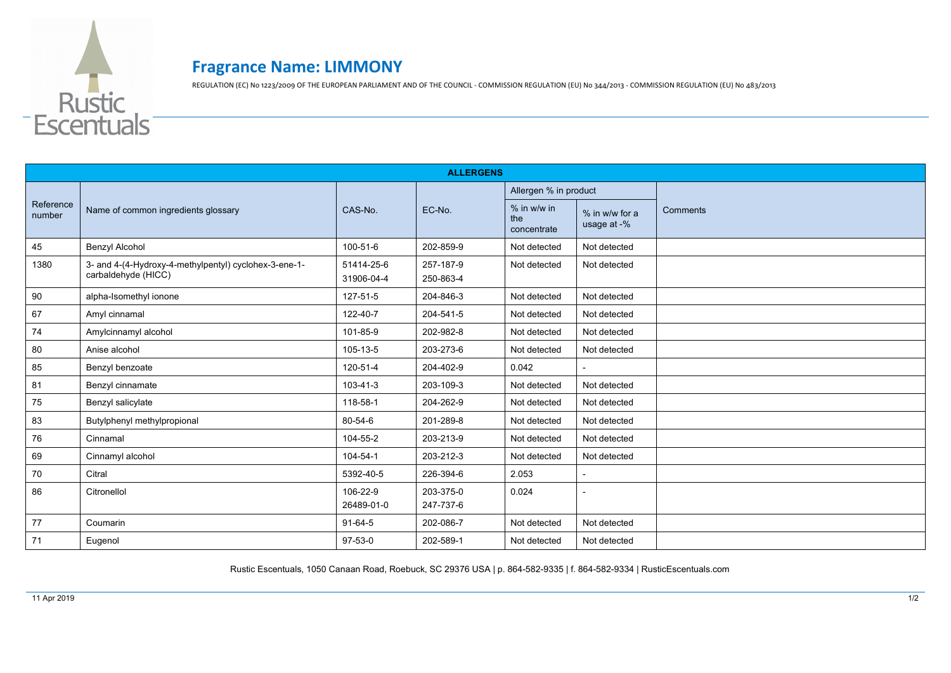

## **Fragrance Name: LIMMONY**

REGULATION (EC) No 1223/2009 OF THE EUROPEAN PARLIAMENT AND OF THE COUNCIL - COMMISSION REGULATION (EU) No 344/2013 - COMMISSION REGULATION (EU) No 483/2013

| <b>ALLERGENS</b>    |                                                                              |                          |                        |                                     |                               |          |  |  |
|---------------------|------------------------------------------------------------------------------|--------------------------|------------------------|-------------------------------------|-------------------------------|----------|--|--|
| Reference<br>number | Name of common ingredients glossary                                          | CAS-No.                  | EC-No.                 | Allergen % in product               |                               |          |  |  |
|                     |                                                                              |                          |                        | $%$ in w/w in<br>the<br>concentrate | % in w/w for a<br>usage at -% | Comments |  |  |
| 45                  | Benzyl Alcohol                                                               | 100-51-6                 | 202-859-9              | Not detected                        | Not detected                  |          |  |  |
| 1380                | 3- and 4-(4-Hydroxy-4-methylpentyl) cyclohex-3-ene-1-<br>carbaldehyde (HICC) | 51414-25-6<br>31906-04-4 | 257-187-9<br>250-863-4 | Not detected                        | Not detected                  |          |  |  |
| 90                  | alpha-Isomethyl ionone                                                       | 127-51-5                 | 204-846-3              | Not detected                        | Not detected                  |          |  |  |
| 67                  | Amyl cinnamal                                                                | 122-40-7                 | 204-541-5              | Not detected                        | Not detected                  |          |  |  |
| 74                  | Amylcinnamyl alcohol                                                         | 101-85-9                 | 202-982-8              | Not detected                        | Not detected                  |          |  |  |
| 80                  | Anise alcohol                                                                | 105-13-5                 | 203-273-6              | Not detected                        | Not detected                  |          |  |  |
| 85                  | Benzyl benzoate                                                              | 120-51-4                 | 204-402-9              | 0.042                               |                               |          |  |  |
| 81                  | Benzyl cinnamate                                                             | $103 - 41 - 3$           | 203-109-3              | Not detected                        | Not detected                  |          |  |  |
| 75                  | Benzyl salicylate                                                            | 118-58-1                 | 204-262-9              | Not detected                        | Not detected                  |          |  |  |
| 83                  | Butylphenyl methylpropional                                                  | 80-54-6                  | 201-289-8              | Not detected                        | Not detected                  |          |  |  |
| 76                  | Cinnamal                                                                     | 104-55-2                 | 203-213-9              | Not detected                        | Not detected                  |          |  |  |
| 69                  | Cinnamyl alcohol                                                             | 104-54-1                 | 203-212-3              | Not detected                        | Not detected                  |          |  |  |
| 70                  | Citral                                                                       | 5392-40-5                | 226-394-6              | 2.053                               |                               |          |  |  |
| 86                  | Citronellol                                                                  | 106-22-9<br>26489-01-0   | 203-375-0<br>247-737-6 | 0.024                               | $\overline{\phantom{a}}$      |          |  |  |
| 77                  | Coumarin                                                                     | $91-64-5$                | 202-086-7              | Not detected                        | Not detected                  |          |  |  |
| 71                  | Eugenol                                                                      | $97-53-0$                | 202-589-1              | Not detected                        | Not detected                  |          |  |  |

Rustic Escentuals, 1050 Canaan Road, Roebuck, SC 29376 USA | p. 864-582-9335 | f. 864-582-9334 | RusticEscentuals.com